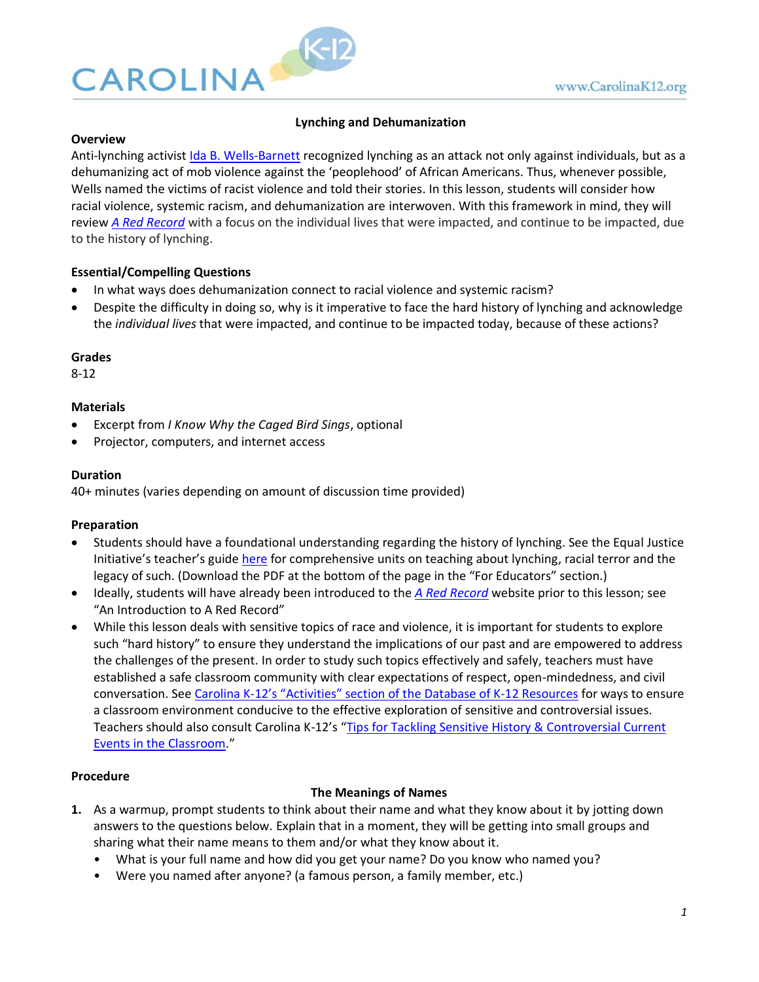

# **Lynching and Dehumanization**

### **Overview**

Anti-lynching activist [Ida B. Wells-Barnett](https://www.nytimes.com/interactive/2018/obituaries/overlooked-ida-b-wells.html) recognized lynching as an attack not only against individuals, but as a dehumanizing act of mob violence against the 'peoplehood' of African Americans. Thus, whenever possible, Wells named the victims of racist violence and told their stories. In this lesson, students will consider how racial violence, systemic racism, and dehumanization are interwoven. With this framework in mind, they will review *A [Red Record](http://lynching.web.unc.edu/)* with a focus on the individual lives that were impacted, and continue to be impacted, due to the history of lynching.

# **Essential/Compelling Questions**

- In what ways does dehumanization connect to racial violence and systemic racism?
- Despite the difficulty in doing so, why is it imperative to face the hard history of lynching and acknowledge the *individual lives* that were impacted, and continue to be impacted today, because of these actions?

### **Grades**

8-12

## **Materials**

- Excerpt from *I Know Why the Caged Bird Sings*, optional
- Projector, computers, and internet access

### **Duration**

40+ minutes (varies depending on amount of discussion time provided)

## **Preparation**

- Students should have a foundational understanding regarding the history of lynching. See the Equal Justice Initiative's teacher's guide [here](https://lynchinginamerica.eji.org/report-landing) for comprehensive units on teaching about lynching, racial terror and the legacy of such. (Download the PDF at the bottom of the page in the "For Educators" section.)
- Ideally, students will have already been introduced to the *A [Red Record](http://lynching.web.unc.edu/)* website prior to this lesson; see "An Introduction to A Red Record"
- While this lesson deals with sensitive topics of race and violence, it is important for students to explore such "hard history" to ensure they understand the implications of our past and are empowered to address the challenges of the present. In order to study such topics effectively and safely, teachers must have established a safe classroom community with clear expectations of respect, open-mindedness, and civil conversation. See Carolina K-[12's "Activities" section of the Database of K](https://k12database.unc.edu/)-12 Resources for ways to ensure a classroom environment conducive to the effective exploration of sensitive and controversial issues. Teachers should also consult Carolina K-12's "Tips for Tackling Sensitive History & Controversial Current [Events in the Classroom](https://k12database.unc.edu/files/2019/06/TipsControversialIssues.pdf)."

#### **Procedure**

## **The Meanings of Names**

- **1.** As a warmup, prompt students to think about their name and what they know about it by jotting down answers to the questions below. Explain that in a moment, they will be getting into small groups and sharing what their name means to them and/or what they know about it.
	- What is your full name and how did you get your name? Do you know who named you?
	- Were you named after anyone? (a famous person, a family member, etc.)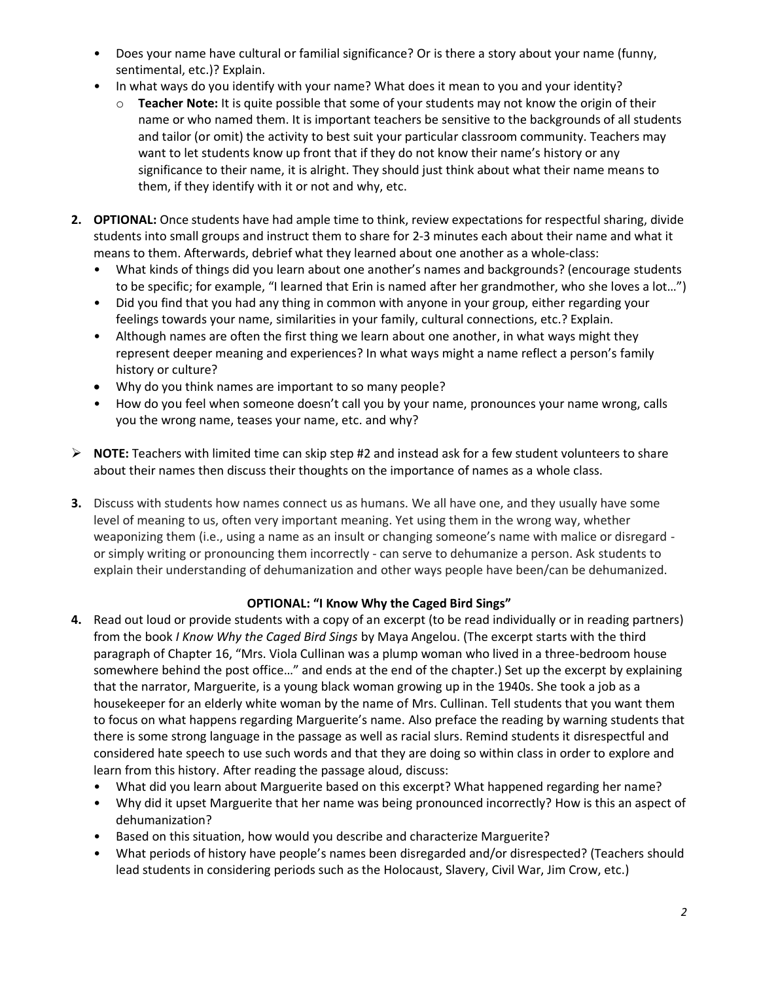- Does your name have cultural or familial significance? Or is there a story about your name (funny, sentimental, etc.)? Explain.
- In what ways do you identify with your name? What does it mean to you and your identity?
	- o **Teacher Note:** It is quite possible that some of your students may not know the origin of their name or who named them. It is important teachers be sensitive to the backgrounds of all students and tailor (or omit) the activity to best suit your particular classroom community. Teachers may want to let students know up front that if they do not know their name's history or any significance to their name, it is alright. They should just think about what their name means to them, if they identify with it or not and why, etc.
- **2. OPTIONAL:** Once students have had ample time to think, review expectations for respectful sharing, divide students into small groups and instruct them to share for 2‐3 minutes each about their name and what it means to them. Afterwards, debrief what they learned about one another as a whole-class:
	- What kinds of things did you learn about one another's names and backgrounds? (encourage students to be specific; for example, "I learned that Erin is named after her grandmother, who she loves a lot…")
	- Did you find that you had any thing in common with anyone in your group, either regarding your feelings towards your name, similarities in your family, cultural connections, etc.? Explain.
	- Although names are often the first thing we learn about one another, in what ways might they represent deeper meaning and experiences? In what ways might a name reflect a person's family history or culture?
	- Why do you think names are important to so many people?
	- How do you feel when someone doesn't call you by your name, pronounces your name wrong, calls you the wrong name, teases your name, etc. and why?
- ➢ **NOTE:** Teachers with limited time can skip step #2 and instead ask for a few student volunteers to share about their names then discuss their thoughts on the importance of names as a whole class.
- **3.** Discuss with students how names connect us as humans. We all have one, and they usually have some level of meaning to us, often very important meaning. Yet using them in the wrong way, whether weaponizing them (i.e., using a name as an insult or changing someone's name with malice or disregard or simply writing or pronouncing them incorrectly - can serve to dehumanize a person. Ask students to explain their understanding of dehumanization and other ways people have been/can be dehumanized.

# **OPTIONAL: "I Know Why the Caged Bird Sings"**

- **4.** Read out loud or provide students with a copy of an excerpt (to be read individually or in reading partners) from the book *I Know Why the Caged Bird Sings* by Maya Angelou. (The excerpt starts with the third paragraph of Chapter 16, "Mrs. Viola Cullinan was a plump woman who lived in a three-bedroom house somewhere behind the post office…" and ends at the end of the chapter.) Set up the excerpt by explaining that the narrator, Marguerite, is a young black woman growing up in the 1940s. She took a job as a housekeeper for an elderly white woman by the name of Mrs. Cullinan. Tell students that you want them to focus on what happens regarding Marguerite's name. Also preface the reading by warning students that there is some strong language in the passage as well as racial slurs. Remind students it disrespectful and considered hate speech to use such words and that they are doing so within class in order to explore and learn from this history. After reading the passage aloud, discuss:
	- What did you learn about Marguerite based on this excerpt? What happened regarding her name?
	- Why did it upset Marguerite that her name was being pronounced incorrectly? How is this an aspect of dehumanization?
	- Based on this situation, how would you describe and characterize Marguerite?
	- What periods of history have people's names been disregarded and/or disrespected? (Teachers should lead students in considering periods such as the Holocaust, Slavery, Civil War, Jim Crow, etc.)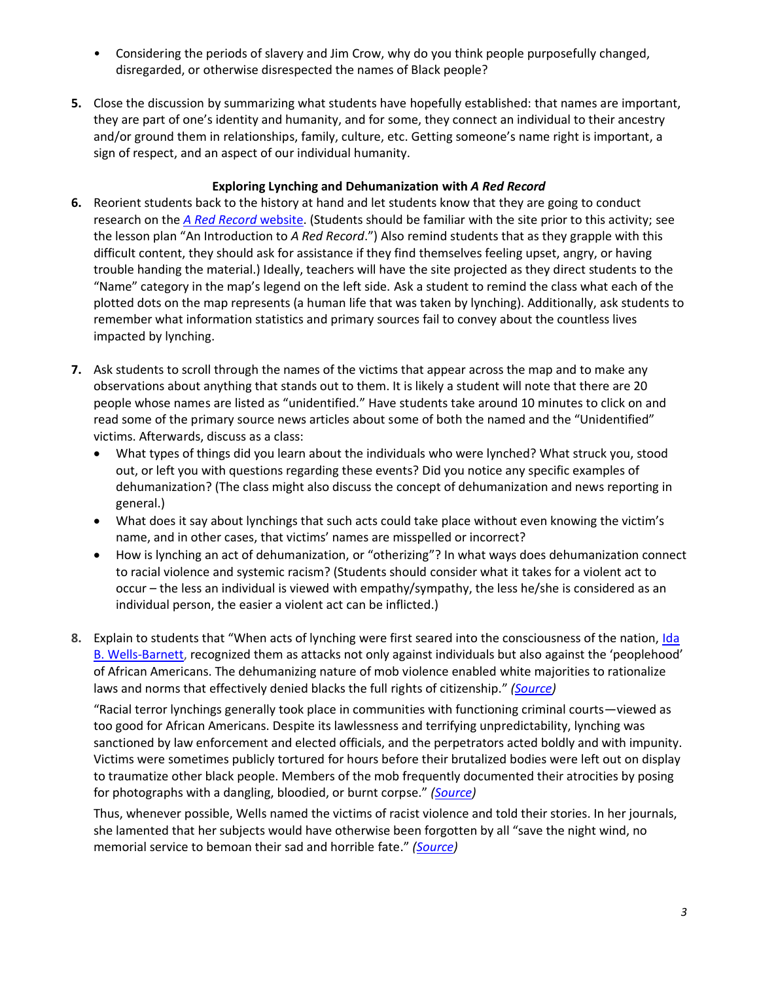- Considering the periods of slavery and Jim Crow, why do you think people purposefully changed, disregarded, or otherwise disrespected the names of Black people?
- **5.** Close the discussion by summarizing what students have hopefully established: that names are important, they are part of one's identity and humanity, and for some, they connect an individual to their ancestry and/or ground them in relationships, family, culture, etc. Getting someone's name right is important, a sign of respect, and an aspect of our individual humanity.

# **Exploring Lynching and Dehumanization with** *A Red Record*

- **6.** Reorient students back to the history at hand and let students know that they are going to conduct research on the *A [Red Record](http://lynching.web.unc.edu/)* website. (Students should be familiar with the site prior to this activity; see the lesson plan "An Introduction to *A Red Record*.") Also remind students that as they grapple with this difficult content, they should ask for assistance if they find themselves feeling upset, angry, or having trouble handing the material.) Ideally, teachers will have the site projected as they direct students to the "Name" category in the map's legend on the left side. Ask a student to remind the class what each of the plotted dots on the map represents (a human life that was taken by lynching). Additionally, ask students to remember what information statistics and primary sources fail to convey about the countless lives impacted by lynching.
- **7.** Ask students to scroll through the names of the victims that appear across the map and to make any observations about anything that stands out to them. It is likely a student will note that there are 20 people whose names are listed as "unidentified." Have students take around 10 minutes to click on and read some of the primary source news articles about some of both the named and the "Unidentified" victims. Afterwards, discuss as a class:
	- What types of things did you learn about the individuals who were lynched? What struck you, stood out, or left you with questions regarding these events? Did you notice any specific examples of dehumanization? (The class might also discuss the concept of dehumanization and news reporting in general.)
	- What does it say about lynchings that such acts could take place without even knowing the victim's name, and in other cases, that victims' names are misspelled or incorrect?
	- How is lynching an act of dehumanization, or "otherizing"? In what ways does dehumanization connect to racial violence and systemic racism? (Students should consider what it takes for a violent act to occur – the less an individual is viewed with empathy/sympathy, the less he/she is considered as an individual person, the easier a violent act can be inflicted.)
- **8.** Explain to students that "When acts of lynching were first seared into the consciousness of the nation, [Ida](https://www.nytimes.com/interactive/2018/obituaries/overlooked-ida-b-wells.html)  [B. Wells-Barnett,](https://www.nytimes.com/interactive/2018/obituaries/overlooked-ida-b-wells.html) recognized them as attacks not only against individuals but also against the 'peoplehood' of African Americans. The dehumanizing nature of mob violence enabled white majorities to rationalize laws and norms that effectively denied blacks the full rights of citizenship." *[\(Source\)](https://academic.oup.com/jah/article/101/3/850/796019)*

"Racial terror lynchings generally took place in communities with functioning criminal courts—viewed as too good for African Americans. Despite its lawlessness and terrifying unpredictability, lynching was sanctioned by law enforcement and elected officials, and the perpetrators acted boldly and with impunity. Victims were sometimes publicly tortured for hours before their brutalized bodies were left out on display to traumatize other black people. Members of the mob frequently documented their atrocities by posing for photographs with a dangling, bloodied, or burnt corpse." *[\(Source\)](https://www.americanbar.org/groups/crsj/publications/human_rights_magazine_home/black-to-the-future/tolerance-for-violence/)*

Thus, whenever possible, Wells named the victims of racist violence and told their stories. In her journals, she lamented that her subjects would have otherwise been forgotten by all "save the night wind, no memorial service to bemoan their sad and horrible fate." *[\(Source\)](https://www.nytimes.com/interactive/2018/obituaries/overlooked-ida-b-wells.html)*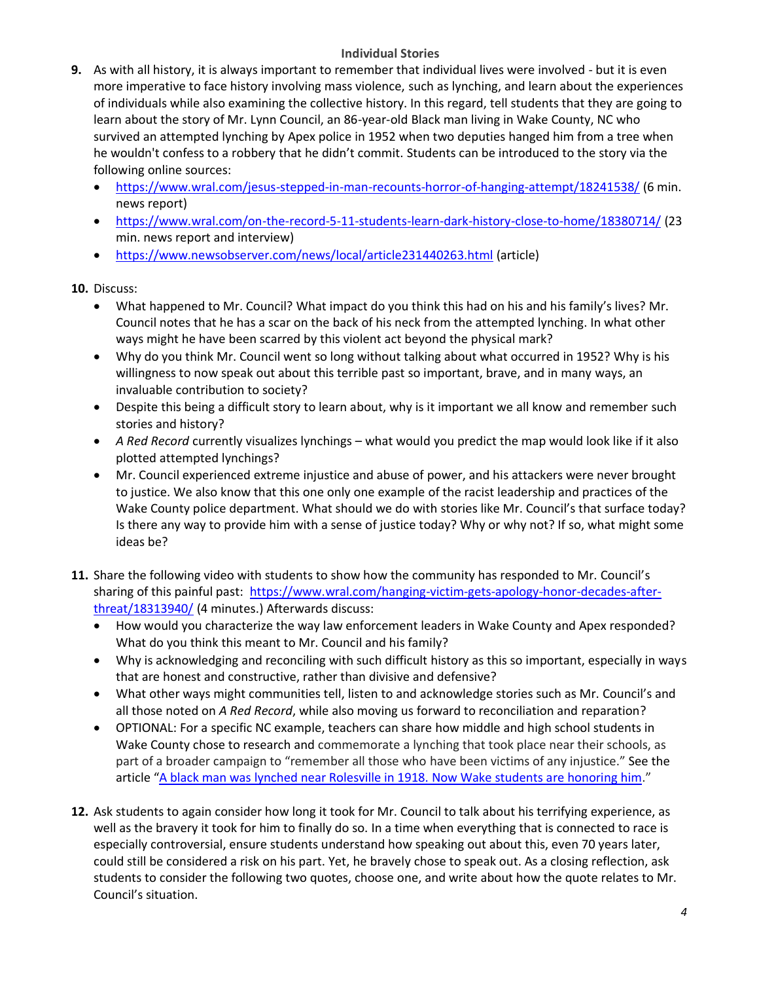## **Individual Stories**

- **9.** As with all history, it is always important to remember that individual lives were involved but it is even more imperative to face history involving mass violence, such as lynching, and learn about the experiences of individuals while also examining the collective history. In this regard, tell students that they are going to learn about the story of Mr. Lynn Council, an 86-year-old Black man living in Wake County, NC who survived an attempted lynching by Apex police in 1952 when two deputies hanged him from a tree when he wouldn't confess to a robbery that he didn't commit. Students can be introduced to the story via the following online sources:
	- <https://www.wral.com/jesus-stepped-in-man-recounts-horror-of-hanging-attempt/18241538/> (6 min. news report)
	- <https://www.wral.com/on-the-record-5-11-students-learn-dark-history-close-to-home/18380714/> (23 min. news report and interview)
	- <https://www.newsobserver.com/news/local/article231440263.html> (article)

# **10.** Discuss:

- What happened to Mr. Council? What impact do you think this had on his and his family's lives? Mr. Council notes that he has a scar on the back of his neck from the attempted lynching. In what other ways might he have been scarred by this violent act beyond the physical mark?
- Why do you think Mr. Council went so long without talking about what occurred in 1952? Why is his willingness to now speak out about this terrible past so important, brave, and in many ways, an invaluable contribution to society?
- Despite this being a difficult story to learn about, why is it important we all know and remember such stories and history?
- *A Red Record* currently visualizes lynchings what would you predict the map would look like if it also plotted attempted lynchings?
- Mr. Council experienced extreme injustice and abuse of power, and his attackers were never brought to justice. We also know that this one only one example of the racist leadership and practices of the Wake County police department. What should we do with stories like Mr. Council's that surface today? Is there any way to provide him with a sense of justice today? Why or why not? If so, what might some ideas be?
- **11.** Share the following video with students to show how the community has responded to Mr. Council's sharing of this painful past: [https://www.wral.com/hanging-victim-gets-apology-honor-decades-after](https://www.wral.com/hanging-victim-gets-apology-honor-decades-after-threat/18313940/)[threat/18313940/](https://www.wral.com/hanging-victim-gets-apology-honor-decades-after-threat/18313940/) (4 minutes.) Afterwards discuss:
	- How would you characterize the way law enforcement leaders in Wake County and Apex responded? What do you think this meant to Mr. Council and his family?
	- Why is acknowledging and reconciling with such difficult history as this so important, especially in ways that are honest and constructive, rather than divisive and defensive?
	- What other ways might communities tell, listen to and acknowledge stories such as Mr. Council's and all those noted on *A Red Record*, while also moving us forward to reconciliation and reparation?
	- OPTIONAL: For a specific NC example, teachers can share how middle and high school students in Wake County chose to research and commemorate a lynching that took place near their schools, as part of a broader campaign to "remember all those who have been victims of any injustice." See the article "[A black man was lynched near Rolesville in 1918. Now Wake students are honoring him](https://www.newsobserver.com/news/local/article220620935.html)."
- **12.** Ask students to again consider how long it took for Mr. Council to talk about his terrifying experience, as well as the bravery it took for him to finally do so. In a time when everything that is connected to race is especially controversial, ensure students understand how speaking out about this, even 70 years later, could still be considered a risk on his part. Yet, he bravely chose to speak out. As a closing reflection, ask students to consider the following two quotes, choose one, and write about how the quote relates to Mr. Council's situation.